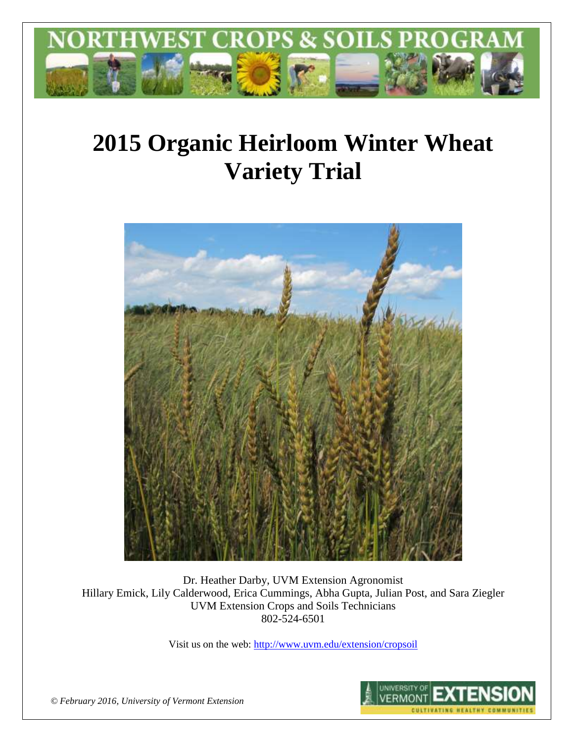

# **2015 Organic Heirloom Winter Wheat Variety Trial**



Dr. Heather Darby, UVM Extension Agronomist Hillary Emick, Lily Calderwood, Erica Cummings, Abha Gupta, Julian Post, and Sara Ziegler UVM Extension Crops and Soils Technicians 802-524-6501

Visit us on the web[: http://www.uvm.edu/extension/cropsoil](http://www.uvm.edu/extension/cropsoil)



*© February 2016, University of Vermont Extension*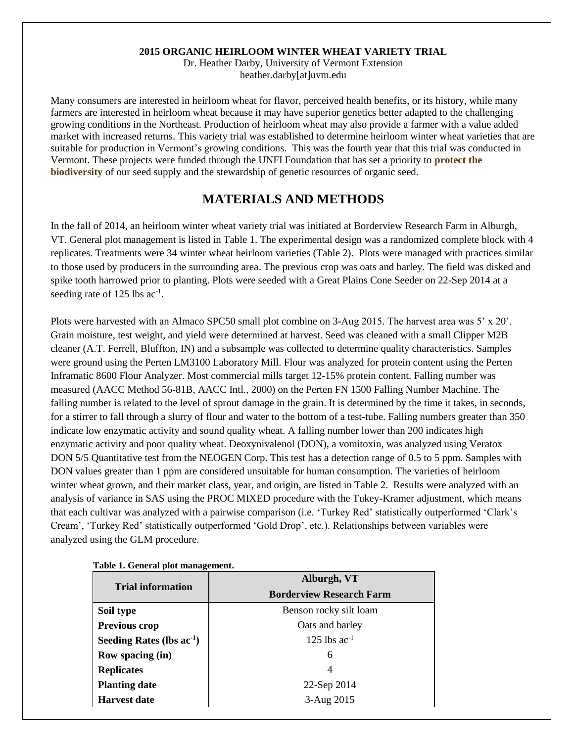#### **2015 ORGANIC HEIRLOOM WINTER WHEAT VARIETY TRIAL**

Dr. Heather Darby, University of Vermont Extension heather.darby[at]uvm.edu

Many consumers are interested in heirloom wheat for flavor, perceived health benefits, or its history, while many farmers are interested in heirloom wheat because it may have superior genetics better adapted to the challenging growing conditions in the Northeast. Production of heirloom wheat may also provide a farmer with a value added market with increased returns. This variety trial was established to determine heirloom winter wheat varieties that are suitable for production in Vermont's growing conditions. This was the fourth year that this trial was conducted in Vermont. These projects were funded through the UNFI Foundation that has set a priority to **protect the biodiversity** of our seed supply and the stewardship of genetic resources of organic seed.

## **MATERIALS AND METHODS**

In the fall of 2014, an heirloom winter wheat variety trial was initiated at Borderview Research Farm in Alburgh, VT. General plot management is listed in Table 1. The experimental design was a randomized complete block with 4 replicates. Treatments were 34 winter wheat heirloom varieties (Table 2). Plots were managed with practices similar to those used by producers in the surrounding area. The previous crop was oats and barley. The field was disked and spike tooth harrowed prior to planting. Plots were seeded with a Great Plains Cone Seeder on 22-Sep 2014 at a seeding rate of 125 lbs ac<sup>-1</sup>.

Plots were harvested with an Almaco SPC50 small plot combine on 3-Aug 2015. The harvest area was 5' x 20'. Grain moisture, test weight, and yield were determined at harvest. Seed was cleaned with a small Clipper M2B cleaner (A.T. Ferrell, Bluffton, IN) and a subsample was collected to determine quality characteristics. Samples were ground using the Perten LM3100 Laboratory Mill. Flour was analyzed for protein content using the Perten Inframatic 8600 Flour Analyzer. Most commercial mills target 12-15% protein content. Falling number was measured (AACC Method 56-81B, AACC Intl., 2000) on the Perten FN 1500 Falling Number Machine. The falling number is related to the level of sprout damage in the grain. It is determined by the time it takes, in seconds, for a stirrer to fall through a slurry of flour and water to the bottom of a test-tube. Falling numbers greater than 350 indicate low enzymatic activity and sound quality wheat. A falling number lower than 200 indicates high enzymatic activity and poor quality wheat. Deoxynivalenol (DON), a vomitoxin, was analyzed using Veratox DON 5/5 Quantitative test from the NEOGEN Corp. This test has a detection range of 0.5 to 5 ppm. Samples with DON values greater than 1 ppm are considered unsuitable for human consumption. The varieties of heirloom winter wheat grown, and their market class, year, and origin, are listed in Table 2. Results were analyzed with an analysis of variance in SAS using the PROC MIXED procedure with the Tukey-Kramer adjustment, which means that each cultivar was analyzed with a pairwise comparison (i.e. 'Turkey Red' statistically outperformed 'Clark's Cream', 'Turkey Red' statistically outperformed 'Gold Drop', etc.). Relationships between variables were analyzed using the GLM procedure.

|                                | Alburgh, VT                     |  |  |  |
|--------------------------------|---------------------------------|--|--|--|
| <b>Trial information</b>       | <b>Borderview Research Farm</b> |  |  |  |
| Soil type                      | Benson rocky silt loam          |  |  |  |
| <b>Previous crop</b>           | Oats and barley                 |  |  |  |
| Seeding Rates (lbs $ac^{-1}$ ) | 125 lbs $ac^{-1}$               |  |  |  |
| Row spacing (in)               | 6                               |  |  |  |
| <b>Replicates</b>              | 4                               |  |  |  |
| <b>Planting date</b>           | 22-Sep 2014                     |  |  |  |
| <b>Harvest date</b>            | 3-Aug 2015                      |  |  |  |

**Table 1. General plot management.**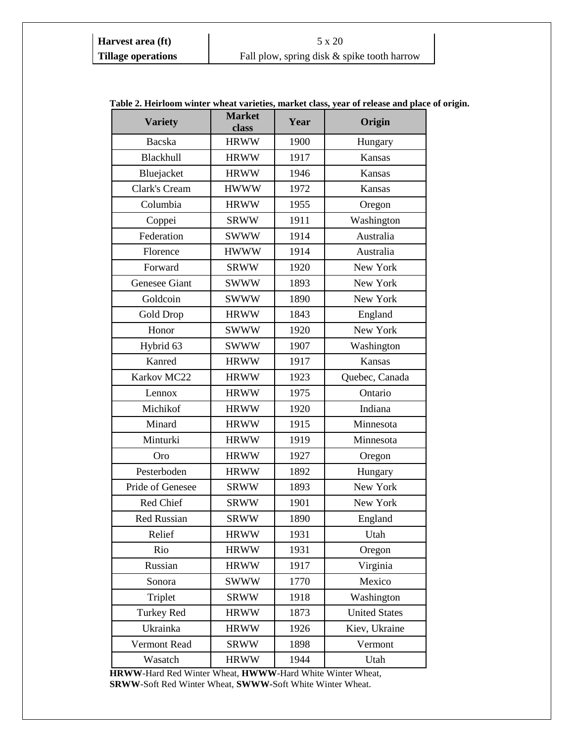#### **Harvest area (ft)** 5 x 20 **Tillage operations** Fall plow, spring disk & spike tooth harrow

| <b>Variety</b>     | <b>Market</b><br>class | Year | abic 2. Henroom which wheat varieties, market class, year of release and place w<br>Origin |
|--------------------|------------------------|------|--------------------------------------------------------------------------------------------|
| Bacska             | <b>HRWW</b>            | 1900 | Hungary                                                                                    |
| Blackhull          | <b>HRWW</b>            | 1917 | Kansas                                                                                     |
| Bluejacket         | <b>HRWW</b>            | 1946 | Kansas                                                                                     |
| Clark's Cream      | <b>HWWW</b>            | 1972 | Kansas                                                                                     |
| Columbia           | <b>HRWW</b>            | 1955 | Oregon                                                                                     |
| Coppei             | <b>SRWW</b>            | 1911 | Washington                                                                                 |
| Federation         | <b>SWWW</b>            | 1914 | Australia                                                                                  |
| Florence           | <b>HWWW</b>            | 1914 | Australia                                                                                  |
| Forward            | <b>SRWW</b>            | 1920 | New York                                                                                   |
| Genesee Giant      | <b>SWWW</b>            | 1893 | New York                                                                                   |
| Goldcoin           | <b>SWWW</b>            | 1890 | New York                                                                                   |
| Gold Drop          | <b>HRWW</b>            | 1843 | England                                                                                    |
| Honor              | <b>SWWW</b>            | 1920 | New York                                                                                   |
| Hybrid 63          | <b>SWWW</b>            | 1907 | Washington                                                                                 |
| Kanred             | <b>HRWW</b>            | 1917 | Kansas                                                                                     |
| Karkov MC22        | <b>HRWW</b>            | 1923 | Quebec, Canada                                                                             |
| Lennox             | <b>HRWW</b>            | 1975 | Ontario                                                                                    |
| Michikof           | <b>HRWW</b>            | 1920 | Indiana                                                                                    |
| Minard             | <b>HRWW</b>            | 1915 | Minnesota                                                                                  |
| Minturki           | <b>HRWW</b>            | 1919 | Minnesota                                                                                  |
| Oro                | <b>HRWW</b>            | 1927 | Oregon                                                                                     |
| Pesterboden        | <b>HRWW</b>            | 1892 | Hungary                                                                                    |
| Pride of Genesee   | <b>SRWW</b>            | 1893 | New York                                                                                   |
| Red Chief          | <b>SRWW</b>            | 1901 | New York                                                                                   |
| <b>Red Russian</b> | <b>SRWW</b>            | 1890 | England                                                                                    |
| Relief             | <b>HRWW</b>            | 1931 | Utah                                                                                       |
| Rio                | <b>HRWW</b>            | 1931 | Oregon                                                                                     |
| Russian            | <b>HRWW</b>            | 1917 | Virginia                                                                                   |
| Sonora             | <b>SWWW</b>            | 1770 | Mexico                                                                                     |
| Triplet            | <b>SRWW</b>            | 1918 | Washington                                                                                 |
| <b>Turkey Red</b>  | <b>HRWW</b>            | 1873 | <b>United States</b>                                                                       |
| Ukrainka           | <b>HRWW</b>            | 1926 | Kiev, Ukraine                                                                              |
| Vermont Read       | <b>SRWW</b>            | 1898 | Vermont                                                                                    |
| Wasatch            | <b>HRWW</b>            | 1944 | Utah                                                                                       |

#### **Table 2. Heirloom winter wheat varieties, market class, year of release and place of origin.**

**HRWW**-Hard Red Winter Wheat, **HWWW**-Hard White Winter Wheat, **SRWW**-Soft Red Winter Wheat, **SWWW-**Soft White Winter Wheat.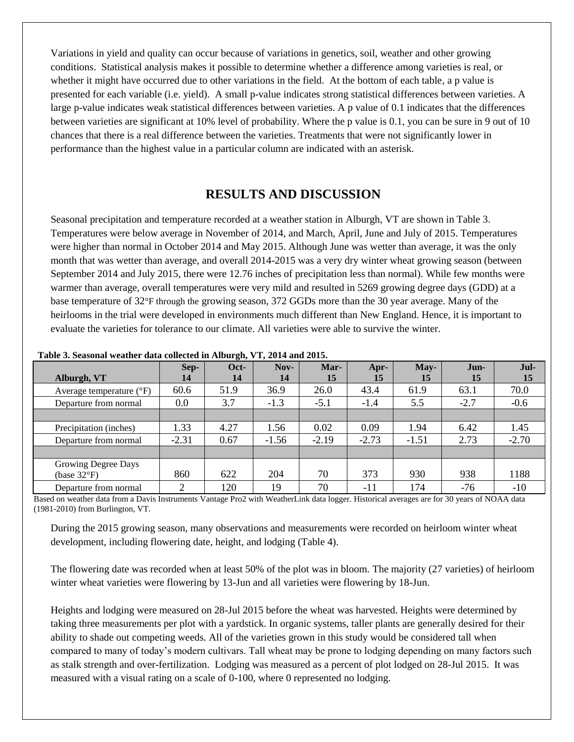Variations in yield and quality can occur because of variations in genetics, soil, weather and other growing conditions. Statistical analysis makes it possible to determine whether a difference among varieties is real, or whether it might have occurred due to other variations in the field. At the bottom of each table, a p value is presented for each variable (i.e. yield). A small p-value indicates strong statistical differences between varieties. A large p-value indicates weak statistical differences between varieties. A p value of 0.1 indicates that the differences between varieties are significant at 10% level of probability. Where the p value is 0.1, you can be sure in 9 out of 10 chances that there is a real difference between the varieties. Treatments that were not significantly lower in performance than the highest value in a particular column are indicated with an asterisk.

# **RESULTS AND DISCUSSION**

Seasonal precipitation and temperature recorded at a weather station in Alburgh, VT are shown in Table 3. Temperatures were below average in November of 2014, and March, April, June and July of 2015. Temperatures were higher than normal in October 2014 and May 2015. Although June was wetter than average, it was the only month that was wetter than average, and overall 2014-2015 was a very dry winter wheat growing season (between September 2014 and July 2015, there were 12.76 inches of precipitation less than normal). While few months were warmer than average, overall temperatures were very mild and resulted in 5269 growing degree days (GDD) at a base temperature of 32°F through the growing season, 372 GGDs more than the 30 year average. Many of the heirlooms in the trial were developed in environments much different than New England. Hence, it is important to evaluate the varieties for tolerance to our climate. All varieties were able to survive the winter.

| Alburgh, VT                                  | Sep-<br>14 | Oct-<br>14 | $Nov-$<br>14 | Mar-<br>15 | Apr-<br>15 | May-<br>15 | Jun-<br>15 | Jul-<br>15 |
|----------------------------------------------|------------|------------|--------------|------------|------------|------------|------------|------------|
| Average temperature $(^{\circ}F)$            | 60.6       | 51.9       | 36.9         | 26.0       | 43.4       | 61.9       | 63.1       | 70.0       |
| Departure from normal                        | 0.0        | 3.7        | $-1.3$       | $-5.1$     | $-1.4$     | 5.5        | $-2.7$     | $-0.6$     |
|                                              |            |            |              |            |            |            |            |            |
| Precipitation (inches)                       | 1.33       | 4.27       | l.56         | 0.02       | 0.09       | 1.94       | 6.42       | 1.45       |
| Departure from normal                        | $-2.31$    | 0.67       | $-1.56$      | $-2.19$    | $-2.73$    | $-1.51$    | 2.73       | $-2.70$    |
|                                              |            |            |              |            |            |            |            |            |
| Growing Degree Days<br>(base $32^{\circ}F$ ) | 860        | 622        | 204          | 70         | 373        | 930        | 938        | 1188       |
| Departure from normal                        | ◠          | 120        | 19           | 70         | -11        | 174        | -76        | $-10$      |

**Table 3. Seasonal weather data collected in Alburgh, VT, 2014 and 2015.**

Based on weather data from a Davis Instruments Vantage Pro2 with WeatherLink data logger. Historical averages are for 30 years of NOAA data (1981-2010) from Burlington, VT.

During the 2015 growing season, many observations and measurements were recorded on heirloom winter wheat development, including flowering date, height, and lodging (Table 4).

The flowering date was recorded when at least 50% of the plot was in bloom. The majority (27 varieties) of heirloom winter wheat varieties were flowering by 13-Jun and all varieties were flowering by 18-Jun.

Heights and lodging were measured on 28-Jul 2015 before the wheat was harvested. Heights were determined by taking three measurements per plot with a yardstick. In organic systems, taller plants are generally desired for their ability to shade out competing weeds. All of the varieties grown in this study would be considered tall when compared to many of today's modern cultivars. Tall wheat may be prone to lodging depending on many factors such as stalk strength and over-fertilization. Lodging was measured as a percent of plot lodged on 28-Jul 2015. It was measured with a visual rating on a scale of 0-100, where 0 represented no lodging.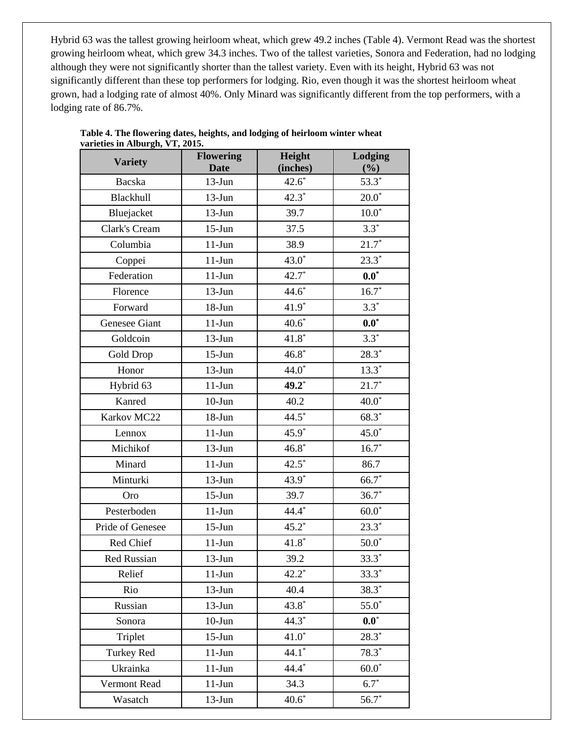Hybrid 63 was the tallest growing heirloom wheat, which grew 49.2 inches (Table 4). Vermont Read was the shortest growing heirloom wheat, which grew 34.3 inches. Two of the tallest varieties, Sonora and Federation, had no lodging although they were not significantly shorter than the tallest variety. Even with its height, Hybrid 63 was not significantly different than these top performers for lodging. Rio, even though it was the shortest heirloom wheat grown, had a lodging rate of almost 40%. Only Minard was significantly different from the top performers, with a lodging rate of 86.7%.

| <b>Variety</b>     | <b>Flowering</b><br><b>Date</b> | Height<br>(inches) | Lodging<br>(%)     |
|--------------------|---------------------------------|--------------------|--------------------|
| Bacska             | $13-Jun$                        | $42.6*$            | $53.3*$            |
| Blackhull          | $13-Jun$                        | $42.3*$            | $20.0*$            |
| Bluejacket         | $13-Jun$                        | 39.7               | $10.0^\ast$        |
| Clark's Cream      | $15$ -Jun                       | 37.5               | $3.3*$             |
| Columbia           | $11-Jun$                        | 38.9               | $21.7*$            |
| Coppei             | $11-Jun$                        | $43.0*$            | $23.3*$            |
| Federation         | $11-Jun$                        | $42.7*$            | $\mathbf{0.0}^{*}$ |
| Florence           | $13-Jun$                        | $44.6*$            | $16.7*$            |
| Forward            | $18 - Jun$                      | $41.9*$            | $3.3*$             |
| Genesee Giant      | $11-Jun$                        | $40.6*$            | $\mathbf{0.0}^{*}$ |
| Goldcoin           | $13-Jun$                        | $41.8*$            | $3.3*$             |
| Gold Drop          | $15-J$ un                       | $46.8*$            | $28.3*$            |
| Honor              | $13-Jun$                        | $44.0*$            | $13.3*$            |
| Hybrid 63          | $11-Jun$                        | 49.2*              | $21.7*$            |
| Kanred             | $10-J$ un                       | 40.2               | $40.0^\ast$        |
| Karkov MC22        | $18 - Jun$                      | $44.5*$            | $68.3*$            |
| Lennox             | $11-Jun$                        | $45.9*$            | $45.0*$            |
| Michikof           | $13-Jun$                        | $46.8*$            | $16.7*$            |
| Minard             | $11-Jun$                        | $42.5*$            | 86.7               |
| Minturki           | $13-Jun$                        | 43.9*              | $66.7*$            |
| Oro                | $15-J$ un                       | 39.7               | $36.7*$            |
| Pesterboden        | $11-J$ un                       | 44.4*              | $60.0*$            |
| Pride of Genesee   | $15$ -Jun                       | $45.2*$            | $23.3*$            |
| Red Chief          | $11-Jun$                        | $41.8*$            | $50.0^\ast$        |
| <b>Red Russian</b> | $13-Jun$                        | 39.2               | $33.3*$            |
| Relief             | $11-Jun$                        | $42.2*$            | $33.3*$            |
| Rio                | $13-Jun$                        | 40.4               | $38.3*$            |
| Russian            | $13-Jun$                        | $43.8*$            | $55.0*$            |
| Sonora             | $10$ -Jun                       | $44.3*$            | $\mathbf{0.0}^{*}$ |
| Triplet            | $15$ -Jun                       | $41.0*$            | $28.3*$            |
| <b>Turkey Red</b>  | $11-Jun$                        | $44.1*$            | $78.3*$            |
| Ukrainka           | $11-Jun$                        | 44.4*              | $60.0*$            |
| Vermont Read       | $11-Jun$                        | 34.3               | $6.7*$             |
| Wasatch            | $13-Jun$                        | $40.6*$            | $56.7*$            |

| Table 4. The flowering dates, heights, and lodging of heirloom winter wheat |
|-----------------------------------------------------------------------------|
| varieties in Alburgh, VT, 2015.                                             |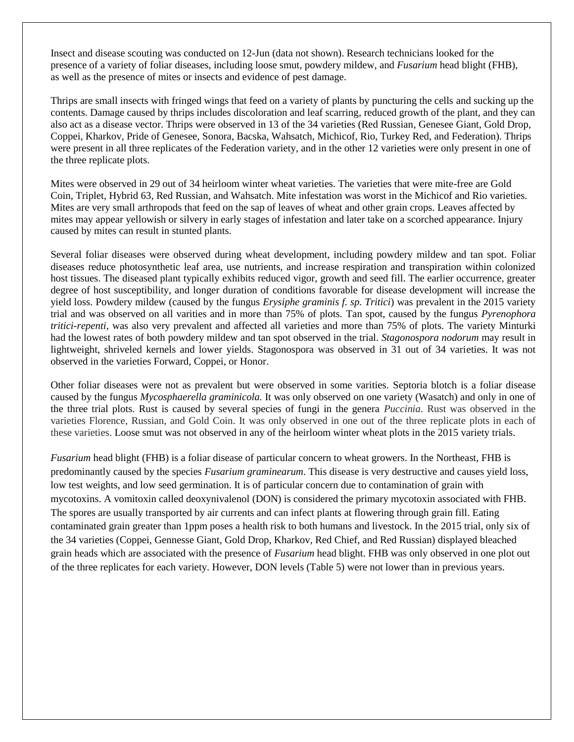Insect and disease scouting was conducted on 12-Jun (data not shown). Research technicians looked for the presence of a variety of foliar diseases, including loose smut, powdery mildew, and *Fusarium* head blight (FHB), as well as the presence of mites or insects and evidence of pest damage.

Thrips are small insects with fringed wings that feed on a variety of plants by puncturing the cells and sucking up the contents. Damage caused by thrips includes discoloration and leaf scarring, reduced growth of the plant, and they can also act as a disease vector. Thrips were observed in 13 of the 34 varieties (Red Russian, Genesee Giant, Gold Drop, Coppei, Kharkov, Pride of Genesee, Sonora, Bacska, Wahsatch, Michicof, Rio, Turkey Red, and Federation). Thrips were present in all three replicates of the Federation variety, and in the other 12 varieties were only present in one of the three replicate plots.

Mites were observed in 29 out of 34 heirloom winter wheat varieties. The varieties that were mite-free are Gold Coin, Triplet, Hybrid 63, Red Russian, and Wahsatch. Mite infestation was worst in the Michicof and Rio varieties. Mites are very small arthropods that feed on the sap of leaves of wheat and other grain crops. Leaves affected by mites may appear yellowish or silvery in early stages of infestation and later take on a scorched appearance. Injury caused by mites can result in stunted plants.

Several foliar diseases were observed during wheat development, including powdery mildew and tan spot. Foliar diseases reduce photosynthetic leaf area, use nutrients, and increase respiration and transpiration within colonized host tissues. The diseased plant typically exhibits reduced vigor, growth and seed fill. The earlier occurrence, greater degree of host susceptibility, and longer duration of conditions favorable for disease development will increase the yield loss. Powdery mildew (caused by the fungus *Erysiphe graminis f. sp. Tritici*) was prevalent in the 2015 variety trial and was observed on all varities and in more than 75% of plots. Tan spot, caused by the fungus *Pyrenophora tritici-repenti,* was also very prevalent and affected all varieties and more than 75% of plots. The variety Minturki had the lowest rates of both powdery mildew and tan spot observed in the trial. *Stagonospora nodorum* may result in lightweight, shriveled kernels and lower yields. Stagonospora was observed in 31 out of 34 varieties. It was not observed in the varieties Forward, Coppei, or Honor.

Other foliar diseases were not as prevalent but were observed in some varities. Septoria blotch is a foliar disease caused by the fungus *Mycosphaerella graminicola.* It was only observed on one variety (Wasatch) and only in one of the three trial plots. Rust is caused by several species of fungi in the genera *Puccinia*. Rust was observed in the varieties Florence, Russian, and Gold Coin. It was only observed in one out of the three replicate plots in each of these varieties. Loose smut was not observed in any of the heirloom winter wheat plots in the 2015 variety trials.

*Fusarium* head blight (FHB) is a foliar disease of particular concern to wheat growers. In the Northeast, FHB is predominantly caused by the species *Fusarium graminearum*. This disease is very destructive and causes yield loss, low test weights, and low seed germination. It is of particular concern due to contamination of grain with mycotoxins. A vomitoxin called deoxynivalenol (DON) is considered the primary mycotoxin associated with FHB. The spores are usually transported by air currents and can infect plants at flowering through grain fill. Eating contaminated grain greater than 1ppm poses a health risk to both humans and livestock. In the 2015 trial, only six of the 34 varieties (Coppei, Gennesse Giant, Gold Drop, Kharkov, Red Chief, and Red Russian) displayed bleached grain heads which are associated with the presence of *Fusarium* head blight. FHB was only observed in one plot out of the three replicates for each variety. However, DON levels (Table 5) were not lower than in previous years.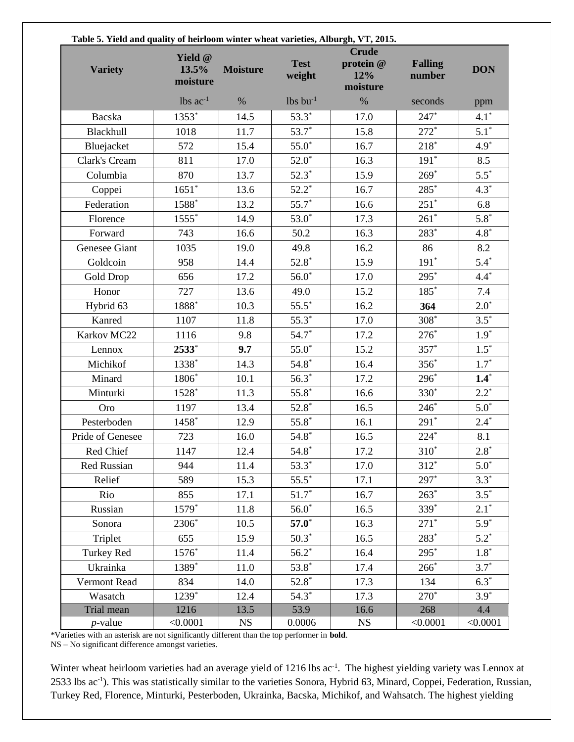| Table 5. Yield and quality of heirloom winter wheat varieties, Alburgh, VT, 2015. |                              |                 |                        |                                              |                          |            |  |
|-----------------------------------------------------------------------------------|------------------------------|-----------------|------------------------|----------------------------------------------|--------------------------|------------|--|
| <b>Variety</b>                                                                    | Yield @<br>13.5%<br>moisture | <b>Moisture</b> | <b>Test</b><br>weight  | <b>Crude</b><br>protein @<br>12%<br>moisture | <b>Falling</b><br>number | <b>DON</b> |  |
|                                                                                   | $lbs$ ac <sup>-1</sup>       | $\%$            | $lbs$ bu <sup>-1</sup> | $\%$                                         | seconds                  | ppm        |  |
| Bacska                                                                            | $1353*$                      | 14.5            | $53.3*$                | 17.0                                         | $247*$                   | $4.1*$     |  |
| Blackhull                                                                         | 1018                         | 11.7            | $53.7*$                | 15.8                                         | $272*$                   | $5.1*$     |  |
| Bluejacket                                                                        | 572                          | 15.4            | $55.0*$                | 16.7                                         | $218*$                   | $4.9*$     |  |
| Clark's Cream                                                                     | 811                          | 17.0            | $52.0*$                | 16.3                                         | $191*$                   | 8.5        |  |
| Columbia                                                                          | 870                          | 13.7            | $52.3*$                | 15.9                                         | $269*$                   | $5.5*$     |  |
| Coppei                                                                            | $1651*$                      | 13.6            | $52.2*$                | 16.7                                         | 285*                     | $4.3*$     |  |
| Federation                                                                        | 1588*                        | 13.2            | $55.7*$                | 16.6                                         | $251*$                   | 6.8        |  |
| Florence                                                                          | 1555*                        | 14.9            | $53.0*$                | 17.3                                         | $261*$                   | $5.8*$     |  |
| Forward                                                                           | 743                          | 16.6            | 50.2                   | 16.3                                         | 283*                     | $4.8*$     |  |
| Genesee Giant                                                                     | 1035                         | 19.0            | 49.8                   | 16.2                                         | 86                       | 8.2        |  |
| Goldcoin                                                                          | 958                          | 14.4            | $52.8*$                | 15.9                                         | $191*$                   | $5.4*$     |  |
| Gold Drop                                                                         | 656                          | 17.2            | $56.0*$                | 17.0                                         | 295*                     | $4.4*$     |  |
| Honor                                                                             | 727                          | 13.6            | 49.0                   | 15.2                                         | 185*                     | 7.4        |  |
| Hybrid 63                                                                         | 1888*                        | 10.3            | $55.5*$                | 16.2                                         | 364                      | $2.0*$     |  |
| Kanred                                                                            | 1107                         | 11.8            | $55.3*$                | 17.0                                         | $308*$                   | $3.5*$     |  |
| Karkov MC22                                                                       | 1116                         | 9.8             | $54.7*$                | 17.2                                         | $276*$                   | $1.9*$     |  |
| Lennox                                                                            | 2533*                        | 9.7             | $55.0*$                | 15.2                                         | $357*$                   | $1.5*$     |  |
| Michikof                                                                          | 1338*                        | 14.3            | $54.8*$                | 16.4                                         | $356*$                   | $1.7*$     |  |
| Minard                                                                            | 1806*                        | 10.1            | $56.3*$                | 17.2                                         | 296*                     | $1.4*$     |  |
| Minturki                                                                          | $1528*$                      | 11.3            | $55.8*$                | 16.6                                         | 330 <sup>*</sup>         | $2.2*$     |  |
| Oro                                                                               | 1197                         | 13.4            | $52.8*$                | 16.5                                         | $246*$                   | $5.0^*$    |  |
| Pesterboden                                                                       | 1458*                        | 12.9            | $55.8*$                | 16.1                                         | $291*$                   | $2.4*$     |  |
| Pride of Genesee                                                                  | 723                          | 16.0            | $54.8*$                | 16.5                                         | $224*$                   | 8.1        |  |
| Red Chief                                                                         | 1147                         | 12.4            | $54.8*$                | 17.2                                         | 310 <sup>-</sup>         | $2.8*$     |  |
| Red Russian                                                                       | 944                          | 11.4            | $53.3*$                | 17.0                                         | $312*$                   | $5.0*$     |  |
| Relief                                                                            | 589                          | 15.3            | $55.5^*$               | 17.1                                         | 297*                     | $3.3*$     |  |
| Rio                                                                               | 855                          | 17.1            | $51.7*$                | 16.7                                         | $263*$                   | $3.5*$     |  |
| Russian                                                                           | 1579*                        | 11.8            | $56.0*$                | 16.5                                         | 339*                     | $2.1*$     |  |
| Sonora                                                                            | 2306*                        | 10.5            | $57.0*$                | 16.3                                         | $271*$                   | $5.9*$     |  |
| Triplet                                                                           | 655                          | 15.9            | $50.3*$                | 16.5                                         | 283*                     | $5.2*$     |  |
| Turkey Red                                                                        | 1576*                        | 11.4            | $56.2*$                | 16.4                                         | $295*$                   | $1.8*$     |  |
| Ukrainka                                                                          | 1389*                        | 11.0            | $53.8*$                | 17.4                                         | $266*$                   | $3.7*$     |  |
| Vermont Read                                                                      | 834                          | 14.0            | $52.8*$                | 17.3                                         | 134                      | $6.3*$     |  |
| Wasatch                                                                           | 1239*                        | 12.4            | $54.3*$                | 17.3                                         | $270*$                   | $3.9*$     |  |
| Trial mean                                                                        | 1216                         | 13.5            | 53.9                   | 16.6                                         | 268                      | 4.4        |  |
| <i>p</i> -value                                                                   | < 0.0001                     | <b>NS</b>       | 0.0006                 | <b>NS</b>                                    | < 0.0001                 | < 0.0001   |  |

\*Varieties with an asterisk are not significantly different than the top performer in **bold**.

NS – No significant difference amongst varieties.

Winter wheat heirloom varieties had an average yield of 1216 lbs ac<sup>-1</sup>. The highest yielding variety was Lennox at 2533 lbs ac<sup>-1</sup>). This was statistically similar to the varieties Sonora, Hybrid 63, Minard, Coppei, Federation, Russian, Turkey Red, Florence, Minturki, Pesterboden, Ukrainka, Bacska, Michikof, and Wahsatch. The highest yielding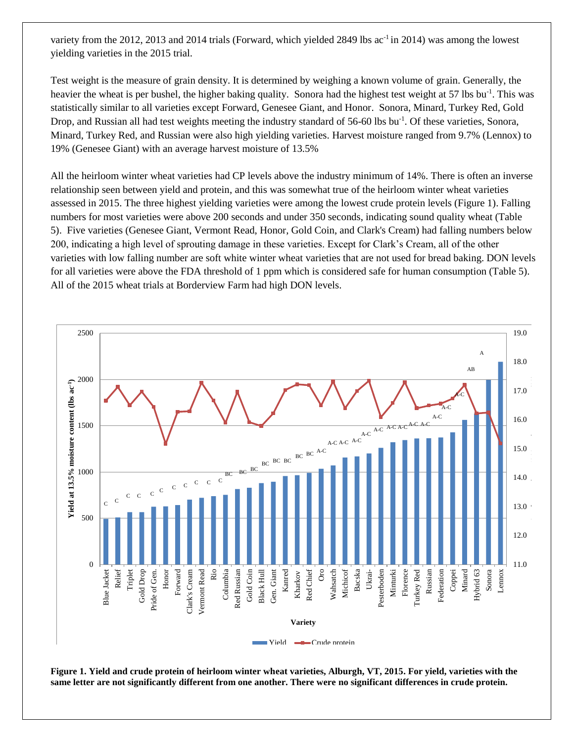variety from the 2012, 2013 and 2014 trials (Forward, which yielded 2849 lbs  $ac^{-1}$  in 2014) was among the lowest yielding varieties in the 2015 trial.

Test weight is the measure of grain density. It is determined by weighing a known volume of grain. Generally, the heavier the wheat is per bushel, the higher baking quality. Sonora had the highest test weight at 57 lbs bu<sup>-1</sup>. This was statistically similar to all varieties except Forward, Genesee Giant, and Honor. Sonora, Minard, Turkey Red, Gold Drop, and Russian all had test weights meeting the industry standard of 56-60 lbs bu<sup>-1</sup>. Of these varieties, Sonora, Minard, Turkey Red, and Russian were also high yielding varieties. Harvest moisture ranged from 9.7% (Lennox) to 19% (Genesee Giant) with an average harvest moisture of 13.5%

All the heirloom winter wheat varieties had CP levels above the industry minimum of 14%. There is often an inverse relationship seen between yield and protein, and this was somewhat true of the heirloom winter wheat varieties assessed in 2015. The three highest yielding varieties were among the lowest crude protein levels (Figure 1). Falling numbers for most varieties were above 200 seconds and under 350 seconds, indicating sound quality wheat (Table 5). Five varieties (Genesee Giant, Vermont Read, Honor, Gold Coin, and Clark's Cream) had falling numbers below 200, indicating a high level of sprouting damage in these varieties. Except for Clark's Cream, all of the other varieties with low falling number are soft white winter wheat varieties that are not used for bread baking. DON levels for all varieties were above the FDA threshold of 1 ppm which is considered safe for human consumption (Table 5). All of the 2015 wheat trials at Borderview Farm had high DON levels.



**Figure 1. Yield and crude protein of heirloom winter wheat varieties, Alburgh, VT, 2015. For yield, varieties with the same letter are not significantly different from one another. There were no significant differences in crude protein.**